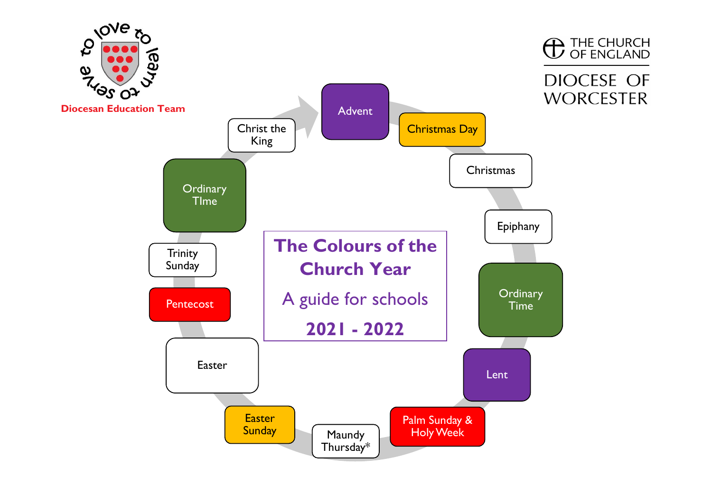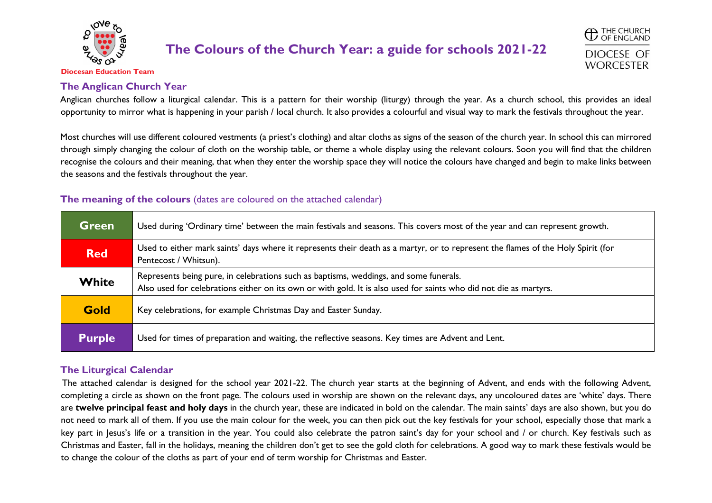

**C** THE CHURCH DIOCESE OF **WORCESTER** 

**Diocesan Education Team**

#### **The Anglican Church Year**

Anglican churches follow a liturgical calendar. This is a pattern for their worship (liturgy) through the year. As a church school, this provides an ideal opportunity to mirror what is happening in your parish / local church. It also provides a colourful and visual way to mark the festivals throughout the year.

Most churches will use different coloured vestments (a priest's clothing) and altar cloths as signs of the season of the church year. In school this can mirrored through simply changing the colour of cloth on the worship table, or theme a whole display using the relevant colours. Soon you will find that the children recognise the colours and their meaning, that when they enter the worship space they will notice the colours have changed and begin to make links between the seasons and the festivals throughout the year.

#### **The meaning of the colours** (dates are coloured on the attached calendar)

| <b>Green</b>  | Used during 'Ordinary time' between the main festivals and seasons. This covers most of the year and can represent growth.                                                                                 |
|---------------|------------------------------------------------------------------------------------------------------------------------------------------------------------------------------------------------------------|
| <b>Red</b>    | Used to either mark saints' days where it represents their death as a martyr, or to represent the flames of the Holy Spirit (for<br>Pentecost / Whitsun).                                                  |
| White         | Represents being pure, in celebrations such as baptisms, weddings, and some funerals.<br>Also used for celebrations either on its own or with gold. It is also used for saints who did not die as martyrs. |
| <b>Gold</b>   | Key celebrations, for example Christmas Day and Easter Sunday.                                                                                                                                             |
| <b>Purple</b> | Used for times of preparation and waiting, the reflective seasons. Key times are Advent and Lent.                                                                                                          |

#### **The Liturgical Calendar**

The attached calendar is designed for the school year 2021-22. The church year starts at the beginning of Advent, and ends with the following Advent, completing a circle as shown on the front page. The colours used in worship are shown on the relevant days, any uncoloured dates are 'white' days. There are **twelve principal feast and holy days** in the church year, these are indicated in bold on the calendar. The main saints' days are also shown, but you do not need to mark all of them. If you use the main colour for the week, you can then pick out the key festivals for your school, especially those that mark a key part in Jesus's life or a transition in the year. You could also celebrate the patron saint's day for your school and / or church. Key festivals such as Christmas and Easter, fall in the holidays, meaning the children don't get to see the gold cloth for celebrations. A good way to mark these festivals would be to change the colour of the cloths as part of your end of term worship for Christmas and Easter.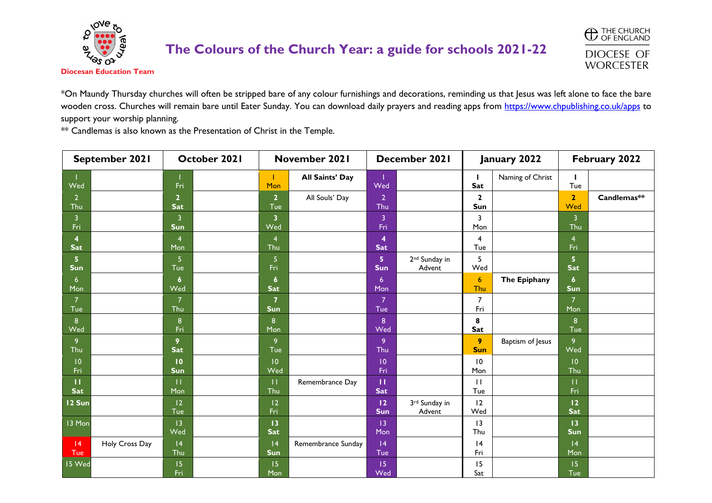

**C** THE CHURCH **DIOCESE OF WORCESTER** 

\*On Maundy Thursday churches will often be stripped bare of any colour furnishings and decorations, reminding us that Jesus was left alone to face the bare wooden cross. Churches will remain bare until Eater Sunday. You can download daily prayers and reading apps from <https://www.chpublishing.co.uk/apps> to support your worship planning.

\*\* Candlemas is also known as the Presentation of Christ in the Temple.

| September 2021               |                | October 2021                 |  | November 2021                  |                        | December 2021                         |                                     |                                | January 2022     | February 2022                  |             |
|------------------------------|----------------|------------------------------|--|--------------------------------|------------------------|---------------------------------------|-------------------------------------|--------------------------------|------------------|--------------------------------|-------------|
| Wed                          |                | Fri                          |  | Mon                            | <b>All Saints' Day</b> | Wed                                   |                                     | т.<br>Sat                      | Naming of Christ | т<br>Tue                       |             |
| 2 <sup>1</sup><br>Thu        |                | $\overline{2}$<br><b>Sat</b> |  | 2 <sup>1</sup><br>Tue          | All Souls' Day         | $\overline{2}$<br>Thu                 |                                     | $\mathbf{2}$<br>Sun            |                  | $\overline{2}$<br>Wed          | Candlemas** |
| 3<br>Fri                     |                | 3<br>Sun                     |  | 3<br>Wed                       |                        | $\overline{3}$<br>Fri                 |                                     | 3<br>Mon                       |                  | $\overline{3}$<br>Thu          |             |
| 4<br><b>Sat</b>              |                | $\overline{4}$<br>Mon        |  | $\overline{4}$<br>Thu          |                        | $\overline{\mathbf{4}}$<br><b>Sat</b> |                                     | $\overline{\mathbf{4}}$<br>Tue |                  | $\overline{4}$<br>Fri          |             |
| 5 <sub>5</sub><br><b>Sun</b> |                | 5<br>Tue                     |  | 5<br>Fri                       |                        | 5<br><b>Sun</b>                       | 2 <sup>nd</sup> Sunday in<br>Advent | 5<br>Wed                       |                  | 5 <sub>5</sub><br><b>Sat</b>   |             |
| 6<br>Mon                     |                | $\boldsymbol{6}$<br>Wed      |  | $\boldsymbol{6}$<br><b>Sat</b> |                        | $6\overline{6}$<br>Mon                |                                     | $\boldsymbol{6}$<br>Thu        | The Epiphany     | $\boldsymbol{6}$<br><b>Sun</b> |             |
| $\overline{7}$<br>Tue        |                | $\overline{7}$<br>Thu        |  | $\overline{7}$<br>Sun          |                        | $\overline{7}$<br>Tue                 |                                     | $\overline{7}$<br>Fri          |                  | $\overline{7}$<br>Mon          |             |
| 8 <sup>°</sup><br>Wed        |                | 8<br>Fri                     |  | 8<br>Mon                       |                        | 8<br>Wed                              |                                     | 8<br>Sat                       |                  | 8<br>Tue                       |             |
| 9<br>Thu                     |                | 9<br><b>Sat</b>              |  | 9<br>Tue                       |                        | 9<br>Thu                              |                                     | 9<br><b>Sun</b>                | Baptism of Jesus | 9<br>Wed                       |             |
| 10<br>Fri                    |                | 10<br><b>Sun</b>             |  | 10<br>Wed                      |                        | 10<br>Fri                             |                                     | 10<br>Mon                      |                  | 10<br>Thu                      |             |
| $\mathbf{H}$<br><b>Sat</b>   |                | $\mathbf{H}$<br>Mon          |  | $\mathbf{H}$<br>Thu            | Remembrance Day        | п<br>Sat                              |                                     | $\mathbf{H}$<br>Tue            |                  | П<br>Fri                       |             |
| 12 Sun                       |                | 12<br>Tue                    |  | 12<br>Fri                      |                        | 12<br><b>Sun</b>                      | 3rd Sunday in<br>Advent             | 12<br>Wed                      |                  | 12<br><b>Sat</b>               |             |
| 13 Mon                       |                | 13<br>Wed                    |  | 13<br>Sat                      |                        | 13<br>Mon                             |                                     | 3<br>Thu                       |                  | 13<br><b>Sun</b>               |             |
| 4 <br>Tue                    | Holy Cross Day | 4<br>Thu                     |  | 4<br>Sun                       | Remembrance Sunday     | 4<br>Tue                              |                                     | 4<br>Fri                       |                  | 4<br>Mon                       |             |
| 15 Wed                       |                | 15<br>Fri                    |  | 15<br>Mon                      |                        | 15 <sub>15</sub><br>Wed               |                                     | 15<br>Sat                      |                  | 15<br>Tue                      |             |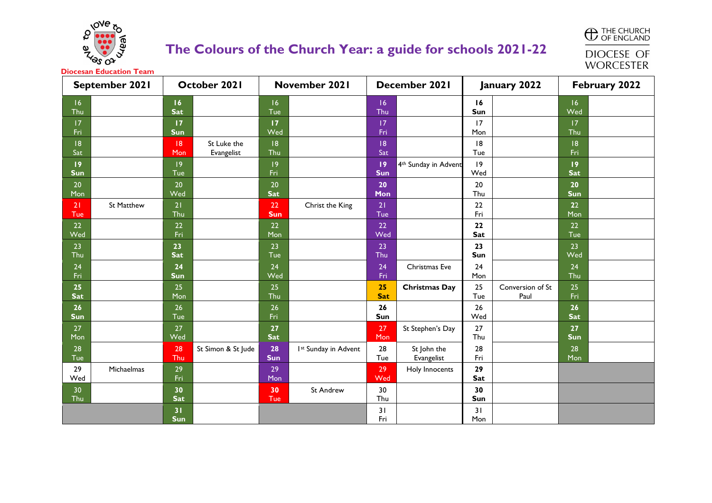

**C** THE CHURCH **DIOCESE OF** 

**WORCESTER** 

| September 2021         |                   | October 2021     |                           | November 2021    |                      | December 2021    |                           |           | January 2022             | February 2022    |  |
|------------------------|-------------------|------------------|---------------------------|------------------|----------------------|------------------|---------------------------|-----------|--------------------------|------------------|--|
| 6 <br>Thu              |                   | 16<br><b>Sat</b> |                           | 6 <br>Tue        |                      | 16<br>Thu        |                           | 16<br>Sun |                          | 16<br>Wed        |  |
| 7 <br>Fri              |                   | 17<br>Sun        |                           | 17<br>Wed        |                      | 17<br>Fri        |                           | 17<br>Mon |                          | 17<br>Thu        |  |
| 18<br>Sat              |                   | 8<br>Mon         | St Luke the<br>Evangelist | 8<br>Thu         |                      | 8<br>Sat         |                           | 8<br>Tue  |                          | 8 <br>Fri        |  |
| 9 <br><b>Sun</b>       |                   | 9<br>Tue         |                           | 9<br>Fri         |                      | 19<br><b>Sun</b> | 4th Sunday in Advent      | 9<br>Wed  |                          | 19<br>Sat        |  |
| 20 <sub>2</sub><br>Mon |                   | 20<br>Wed        |                           | 20<br><b>Sat</b> |                      | 20<br>Mon        |                           | 20<br>Thu |                          | 20<br><b>Sun</b> |  |
| 21<br>Tue              | <b>St Matthew</b> | 21<br>Thu        |                           | 22<br><b>Sun</b> | Christ the King      | 21<br>Tue        |                           | 22<br>Fri |                          | 22<br>Mon        |  |
| 22<br>Wed              |                   | 22<br>Fri        |                           | 22<br>Mon        |                      | 22<br>Wed        |                           | 22<br>Sat |                          | 22<br>Tue        |  |
| 23<br>Thu              |                   | 23<br>Sat        |                           | 23<br>Tue        |                      | 23<br>Thu        |                           | 23<br>Sun |                          | 23<br>Wed        |  |
| 24<br>Fri              |                   | 24<br>Sun        |                           | 24<br>Wed        |                      | 24<br>Fri        | Christmas Eve             | 24<br>Mon |                          | 24<br>Thu        |  |
| 25<br><b>Sat</b>       |                   | 25<br>Mon        |                           | 25<br>Thu        |                      | 25<br><b>Sat</b> | <b>Christmas Day</b>      | 25<br>Tue | Conversion of St<br>Paul | 25<br>Fri        |  |
| 26<br><b>Sun</b>       |                   | 26<br>Tue        |                           | 26<br>Fri        |                      | 26<br>Sun        |                           | 26<br>Wed |                          | 26<br><b>Sat</b> |  |
| 27<br>Mon              |                   | 27<br>Wed        |                           | 27<br>Sat        |                      | 27<br>Mon        | St Stephen's Day          | 27<br>Thu |                          | 27<br>Sun        |  |
| 28<br>Tue              |                   | 28<br>Thu        | St Simon & St Jude        | 28<br><b>Sun</b> | Ist Sunday in Advent | 28<br>Tue        | St John the<br>Evangelist | 28<br>Fri |                          | 28<br>Mon        |  |
| 29<br>Wed              | Michaelmas        | 29<br>Fri        |                           | 29<br>Mon        |                      | 29<br>Wed        | Holy Innocents            | 29<br>Sat |                          |                  |  |
| 30<br>Thu              |                   | 30<br><b>Sat</b> |                           | 30<br>Tue        | <b>St Andrew</b>     | 30<br>Thu        |                           | 30<br>Sun |                          |                  |  |
|                        |                   | 31<br><b>Sun</b> |                           |                  |                      | 31<br>Fri        |                           | 31<br>Mon |                          |                  |  |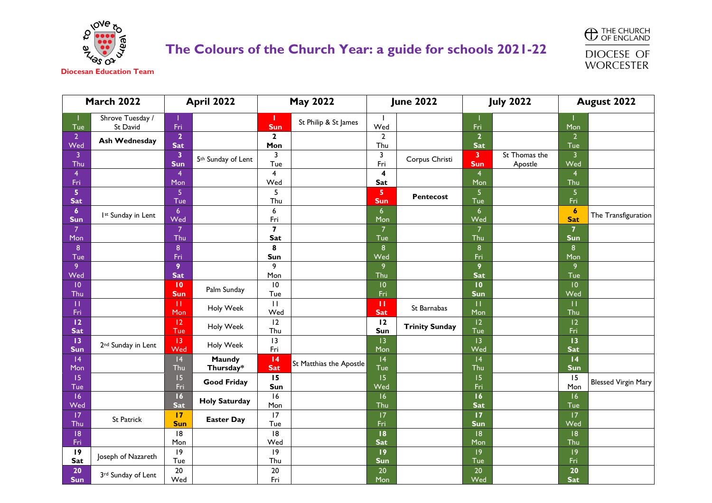



| <b>March 2022</b>              |                                | April 2022                            |                                | <b>May 2022</b>                |                         | <b>June 2022</b>                      |                       | <b>July 2022</b>               |                          | August 2022           |                            |
|--------------------------------|--------------------------------|---------------------------------------|--------------------------------|--------------------------------|-------------------------|---------------------------------------|-----------------------|--------------------------------|--------------------------|-----------------------|----------------------------|
| Tue                            | Shrove Tuesday /<br>St David   | Fri                                   |                                | <b>Sun</b>                     | St Philip & St James    | Wed                                   |                       | Fri                            |                          | Mon                   |                            |
| 2 <sup>1</sup><br>Wed          | <b>Ash Wednesday</b>           | $\overline{2}$<br><b>Sat</b>          |                                | $\mathbf{2}$<br>Mon            |                         | $\overline{2}$<br>Thu                 |                       | $\overline{2}$<br><b>Sat</b>   |                          | $\overline{2}$<br>Tue |                            |
| 3<br>Thu                       |                                | $\overline{\mathbf{3}}$<br><b>Sun</b> | 5 <sup>th</sup> Sunday of Lent | 3<br>Tue                       |                         | 3<br>Fri                              | Corpus Christi        | $\overline{\mathbf{3}}$<br>Sun | St Thomas the<br>Apostle | $\overline{3}$<br>Wed |                            |
| 4<br>Fri                       |                                | $\overline{4}$<br>Mon                 |                                | 4<br>Wed                       |                         | 4<br>Sat                              |                       | $\overline{4}$<br>Mon          |                          | $\overline{4}$<br>Thu |                            |
| 5<br><b>Sat</b>                |                                | 5<br>Tue                              |                                | 5<br>Thu                       |                         | $\overline{\mathbf{5}}$<br><b>Sun</b> | <b>Pentecost</b>      | 5<br>Tue                       |                          | 5<br>Fri              |                            |
| $\boldsymbol{6}$<br><b>Sun</b> | Ist Sunday in Lent             | $\overline{6}$<br>Wed                 |                                | 6<br>Fri                       |                         | 6 <sup>1</sup><br>Mon                 |                       | $6\overline{6}$<br>Wed         |                          | 6<br><b>Sat</b>       | The Transfiguration        |
| $\overline{7}$<br>Mon          |                                | $\overline{7}$<br>Thu                 |                                | $\overline{\mathbf{z}}$<br>Sat |                         | $\overline{7}$<br>Tue                 |                       | $\overline{7}$<br>Thu          |                          | $\overline{7}$<br>Sun |                            |
| $\bf 8$<br>Tue                 |                                | $\bf 8$<br>Fri                        |                                | 8<br>Sun                       |                         | 8<br>Wed                              |                       | 8<br>Fri                       |                          | 8<br>Mon              |                            |
| 9<br>Wed                       |                                | 9<br><b>Sat</b>                       |                                | 9<br>Mon                       |                         | 9<br>Thu                              |                       | 9<br><b>Sat</b>                |                          | 9<br>Tue              |                            |
| $\overline{10}$<br>Thu         |                                | $\overline{10}$<br>Sun                | Palm Sunday                    | 10<br>Tue                      |                         | 10<br>Fri                             |                       | 10<br>Sun                      |                          | 10<br>Wed             |                            |
| П<br>Fri                       |                                | TT.<br>Mon                            | Holy Week                      | $\mathbf{H}$<br>Wed            |                         | п<br><b>Sat</b>                       | St Barnabas           | $\mathbf{H}$<br>Mon            |                          | $\mathbf{H}$<br>Thu   |                            |
| 12<br><b>Sat</b>               |                                | 12<br>Tue                             | Holy Week                      | 12<br>Thu                      |                         | 12<br>Sun                             | <b>Trinity Sunday</b> | 2<br>Tue                       |                          | 12<br>Fri             |                            |
| 13<br><b>Sun</b>               | 2 <sup>nd</sup> Sunday in Lent | 13<br>Wed                             | Holy Week                      | 3<br>Fri                       |                         | 13<br>Mon                             |                       | 13<br>Wed                      |                          | 13<br><b>Sat</b>      |                            |
| 4<br>Mon                       |                                | 4<br>Thu                              | Maundy<br>Thursday*            | 4<br><b>Sat</b>                | St Matthias the Apostle | 4<br>Tue                              |                       | 4<br>Thu                       |                          | 4<br>Sun              |                            |
| 15 <sub>1</sub><br>Tue         |                                | 15<br>Fri                             | <b>Good Friday</b>             | 15<br>Sun                      |                         | 15<br>Wed                             |                       | 15<br>Fri                      |                          | 15<br>Mon             | <b>Blessed Virgin Mary</b> |
| 16<br>Wed                      |                                | 16<br><b>Sat</b>                      | <b>Holy Saturday</b>           | 16<br>Mon                      |                         | 16<br>Thu                             |                       | 16<br>Sat                      |                          | 16<br>Tue             |                            |
| 17<br>Thu                      | St Patrick                     | 17<br><b>Sun</b>                      | <b>Easter Day</b>              | 17<br>Tue                      |                         | 17<br>Fri                             |                       | 17<br><b>Sun</b>               |                          | 17<br>Wed             |                            |
| 8 <br>Fri                      |                                | 8<br>Mon                              |                                | 18<br>Wed                      |                         | 18<br><b>Sat</b>                      |                       | 8<br>Mon                       |                          | 8 <br>Thu             |                            |
| 19<br>Sat                      | Joseph of Nazareth             | 9<br>Tue                              |                                | 19<br>Thu                      |                         | 19<br>Sun                             |                       | 9<br>Tue                       |                          | 9<br>Fri              |                            |
| 20<br><b>Sun</b>               | 3rd Sunday of Lent             | 20<br>Wed                             |                                | 20<br>Fri                      |                         | 20<br>Mon                             |                       | 20<br>Wed                      |                          | 20<br><b>Sat</b>      |                            |